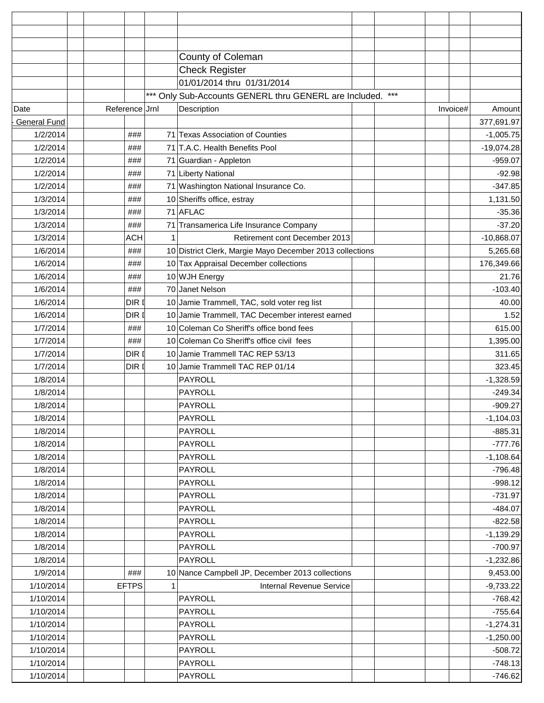|                     |                | County of Coleman                                          |          |              |
|---------------------|----------------|------------------------------------------------------------|----------|--------------|
|                     |                | <b>Check Register</b>                                      |          |              |
|                     |                | 01/01/2014 thru 01/31/2014                                 |          |              |
|                     |                | *** Only Sub-Accounts GENERL thru GENERL are Included. *** |          |              |
| Date                | Reference Jrnl | Description                                                | Invoice# | Amount       |
| <b>General Fund</b> |                |                                                            |          | 377,691.97   |
| 1/2/2014            | ###            | 71 Texas Association of Counties                           |          | $-1,005.75$  |
| 1/2/2014            | ###            | 71 T.A.C. Health Benefits Pool                             |          | $-19,074.28$ |
| 1/2/2014            | ###            | 71 Guardian - Appleton                                     |          | $-959.07$    |
| 1/2/2014            | ###            | 71 Liberty National                                        |          | $-92.98$     |
| 1/2/2014            | ###            | 71 Washington National Insurance Co.                       |          | $-347.85$    |
| 1/3/2014            | ###            | 10 Sheriffs office, estray                                 |          | 1,131.50     |
| 1/3/2014            | ###            | 71 AFLAC                                                   |          | $-35.36$     |
| 1/3/2014            | ###            | 71 Transamerica Life Insurance Company                     |          | $-37.20$     |
| 1/3/2014            | <b>ACH</b>     | Retirement cont December 2013                              |          | $-10,868.07$ |
| 1/6/2014            | ###            | 10 District Clerk, Margie Mayo December 2013 collections   |          | 5,265.68     |
| 1/6/2014            | ###            | 10 Tax Appraisal December collections                      |          | 176,349.66   |
| 1/6/2014            | ###            | 10 WJH Energy                                              |          | 21.76        |
| 1/6/2014            | ###            | 70 Janet Nelson                                            |          | $-103.40$    |
| 1/6/2014            | DIR I          | 10 Jamie Trammell, TAC, sold voter reg list                |          | 40.00        |
| 1/6/2014            | DIR I          | 10 Jamie Trammell, TAC December interest earned            |          | 1.52         |
| 1/7/2014            | ###            | 10 Coleman Co Sheriff's office bond fees                   |          | 615.00       |
| 1/7/2014            | ###            | 10 Coleman Co Sheriff's office civil fees                  |          | 1,395.00     |
| 1/7/2014            | DIR I          | 10 Jamie Trammell TAC REP 53/13                            |          | 311.65       |
| 1/7/2014            | DIR I          | 10 Jamie Trammell TAC REP 01/14                            |          | 323.45       |
| 1/8/2014            |                | PAYROLL                                                    |          | $-1,328.59$  |
| 1/8/2014            |                | PAYROLL                                                    |          | $-249.34$    |
| 1/8/2014            |                | <b>PAYROLL</b>                                             |          | $-909.27$    |
| 1/8/2014            |                | <b>PAYROLL</b>                                             |          | $-1,104.03$  |
| 1/8/2014            |                | <b>PAYROLL</b>                                             |          | $-885.31$    |
| 1/8/2014            |                | <b>PAYROLL</b>                                             |          | $-777.76$    |
| 1/8/2014            |                | <b>PAYROLL</b>                                             |          | $-1,108.64$  |
| 1/8/2014            |                | <b>PAYROLL</b>                                             |          | $-796.48$    |
| 1/8/2014            |                | <b>PAYROLL</b>                                             |          | $-998.12$    |
| 1/8/2014            |                | <b>PAYROLL</b>                                             |          | $-731.97$    |
| 1/8/2014            |                | <b>PAYROLL</b>                                             |          | $-484.07$    |
| 1/8/2014            |                | <b>PAYROLL</b>                                             |          | $-822.58$    |
| 1/8/2014            |                | <b>PAYROLL</b>                                             |          | $-1,139.29$  |
| 1/8/2014            |                | <b>PAYROLL</b>                                             |          | $-700.97$    |
| 1/8/2014            |                | <b>PAYROLL</b>                                             |          | $-1,232.86$  |
| 1/9/2014            | ###            | 10 Nance Campbell JP, December 2013 collections            |          | 9,453.00     |
| 1/10/2014           | <b>EFTPS</b>   | <b>Internal Revenue Service</b>                            |          | $-9,733.22$  |
| 1/10/2014           |                | <b>PAYROLL</b>                                             |          | $-768.42$    |
| 1/10/2014           |                | <b>PAYROLL</b>                                             |          | $-755.64$    |
| 1/10/2014           |                | <b>PAYROLL</b>                                             |          | $-1,274.31$  |
| 1/10/2014           |                | <b>PAYROLL</b>                                             |          | $-1,250.00$  |
| 1/10/2014           |                | <b>PAYROLL</b>                                             |          | $-508.72$    |
| 1/10/2014           |                | <b>PAYROLL</b>                                             |          | $-748.13$    |
| 1/10/2014           |                | PAYROLL                                                    |          | $-746.62$    |
|                     |                |                                                            |          |              |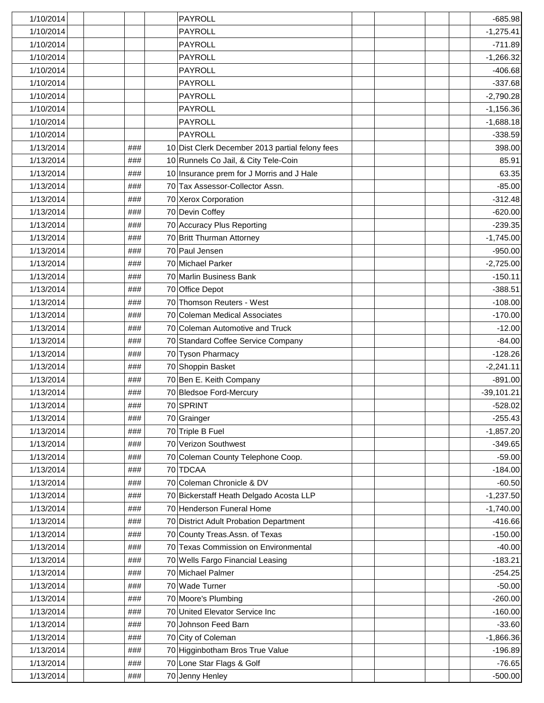| 1/10/2014 |     | <b>PAYROLL</b>                                  | $-685.98$    |
|-----------|-----|-------------------------------------------------|--------------|
| 1/10/2014 |     | <b>PAYROLL</b>                                  | $-1,275.41$  |
| 1/10/2014 |     | <b>PAYROLL</b>                                  | $-711.89$    |
| 1/10/2014 |     | <b>PAYROLL</b>                                  | $-1,266.32$  |
| 1/10/2014 |     | <b>PAYROLL</b>                                  | $-406.68$    |
| 1/10/2014 |     | <b>PAYROLL</b>                                  | $-337.68$    |
| 1/10/2014 |     | PAYROLL                                         | $-2,790.28$  |
| 1/10/2014 |     | <b>PAYROLL</b>                                  | $-1,156.36$  |
| 1/10/2014 |     | <b>PAYROLL</b>                                  | $-1,688.18$  |
| 1/10/2014 |     | PAYROLL                                         | $-338.59$    |
| 1/13/2014 | ### | 10 Dist Clerk December 2013 partial felony fees | 398.00       |
| 1/13/2014 | ### | 10 Runnels Co Jail, & City Tele-Coin            | 85.91        |
| 1/13/2014 | ### | 10 Insurance prem for J Morris and J Hale       | 63.35        |
| 1/13/2014 | ### | 70 Tax Assessor-Collector Assn.                 | $-85.00$     |
| 1/13/2014 | ### | 70 Xerox Corporation                            | $-312.48$    |
| 1/13/2014 | ### | 70 Devin Coffey                                 | $-620.00$    |
| 1/13/2014 | ### | 70 Accuracy Plus Reporting                      | $-239.35$    |
| 1/13/2014 | ### | 70 Britt Thurman Attorney                       | $-1,745.00$  |
| 1/13/2014 | ### | 70 Paul Jensen                                  | $-950.00$    |
| 1/13/2014 | ### | 70 Michael Parker                               | $-2,725.00$  |
| 1/13/2014 | ### | 70 Marlin Business Bank                         | $-150.11$    |
| 1/13/2014 | ### | 70 Office Depot                                 | $-388.51$    |
| 1/13/2014 | ### | 70 Thomson Reuters - West                       | $-108.00$    |
| 1/13/2014 | ### | 70 Coleman Medical Associates                   | $-170.00$    |
| 1/13/2014 | ### | 70 Coleman Automotive and Truck                 | $-12.00$     |
| 1/13/2014 | ### | 70 Standard Coffee Service Company              | $-84.00$     |
| 1/13/2014 | ### | 70 Tyson Pharmacy                               | $-128.26$    |
| 1/13/2014 | ### | 70 Shoppin Basket                               | $-2,241.11$  |
| 1/13/2014 | ### | 70 Ben E. Keith Company                         | $-891.00$    |
| 1/13/2014 | ### | 70 Bledsoe Ford-Mercury                         | $-39,101.21$ |
| 1/13/2014 | ### | 70 SPRINT                                       | $-528.02$    |
| 1/13/2014 | ### | 70 Grainger                                     | $-255.43$    |
| 1/13/2014 | ### | 70 Triple B Fuel                                | $-1,857.20$  |
| 1/13/2014 | ### | 70 Verizon Southwest                            | $-349.65$    |
| 1/13/2014 | ### | 70 Coleman County Telephone Coop.               | $-59.00$     |
| 1/13/2014 | ### | 70 TDCAA                                        | $-184.00$    |
| 1/13/2014 | ### | 70 Coleman Chronicle & DV                       | $-60.50$     |
| 1/13/2014 | ### | 70 Bickerstaff Heath Delgado Acosta LLP         | $-1,237.50$  |
| 1/13/2014 | ### | 70 Henderson Funeral Home                       | $-1,740.00$  |
| 1/13/2014 | ### | 70 District Adult Probation Department          | $-416.66$    |
| 1/13/2014 | ### | 70 County Treas.Assn. of Texas                  | $-150.00$    |
| 1/13/2014 | ### | 70 Texas Commission on Environmental            | $-40.00$     |
| 1/13/2014 | ### | 70 Wells Fargo Financial Leasing                | $-183.21$    |
| 1/13/2014 | ### | 70 Michael Palmer                               | $-254.25$    |
| 1/13/2014 | ### | 70 Wade Turner                                  | $-50.00$     |
| 1/13/2014 | ### | 70 Moore's Plumbing                             | $-260.00$    |
| 1/13/2014 | ### | 70 United Elevator Service Inc                  | $-160.00$    |
| 1/13/2014 | ### | 70 Johnson Feed Barn                            | $-33.60$     |
| 1/13/2014 | ### | 70 City of Coleman                              | $-1,866.36$  |
| 1/13/2014 | ### | 70 Higginbotham Bros True Value                 | $-196.89$    |
| 1/13/2014 | ### | 70 Lone Star Flags & Golf                       | $-76.65$     |
|           |     |                                                 |              |
| 1/13/2014 | ### | 70 Jenny Henley                                 | $-500.00$    |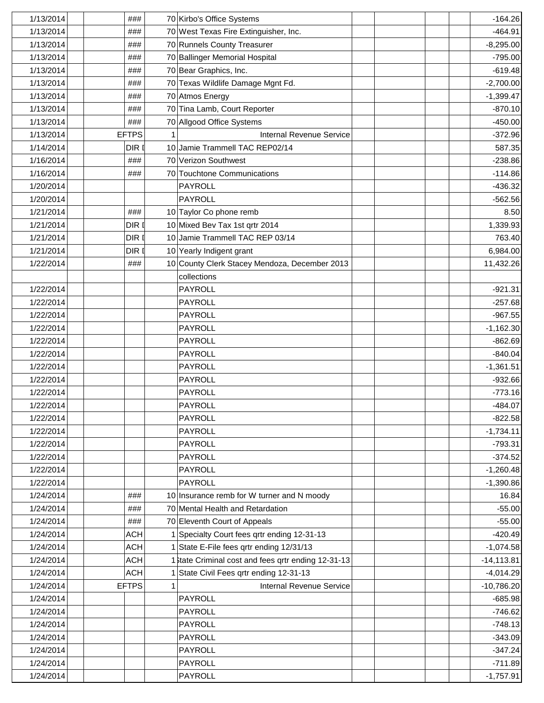| 1/13/2014 | ###          | 70 Kirbo's Office Systems                           | $-164.26$     |
|-----------|--------------|-----------------------------------------------------|---------------|
| 1/13/2014 | ###          | 70 West Texas Fire Extinguisher, Inc.               | $-464.91$     |
| 1/13/2014 | ###          | 70 Runnels County Treasurer                         | $-8,295.00$   |
| 1/13/2014 | ###          | 70 Ballinger Memorial Hospital                      | $-795.00$     |
| 1/13/2014 | ###          | 70 Bear Graphics, Inc.                              | $-619.48$     |
| 1/13/2014 | ###          | 70 Texas Wildlife Damage Mgnt Fd.                   | $-2,700.00$   |
| 1/13/2014 | ###          | 70 Atmos Energy                                     | $-1,399.47$   |
| 1/13/2014 | ###          | 70 Tina Lamb, Court Reporter                        | $-870.10$     |
| 1/13/2014 | ###          | 70 Allgood Office Systems                           | $-450.00$     |
| 1/13/2014 | <b>EFTPS</b> | <b>Internal Revenue Service</b>                     | $-372.96$     |
| 1/14/2014 | DIR I        | 10 Jamie Trammell TAC REP02/14                      | 587.35        |
| 1/16/2014 | ###          | 70 Verizon Southwest                                | $-238.86$     |
| 1/16/2014 | ###          | 70 Touchtone Communications                         | $-114.86$     |
| 1/20/2014 |              | PAYROLL                                             | $-436.32$     |
| 1/20/2014 |              | <b>PAYROLL</b>                                      | $-562.56$     |
| 1/21/2014 | ###          | 10 Taylor Co phone remb                             | 8.50          |
| 1/21/2014 | DIR I        | 10 Mixed Bev Tax 1st qrtr 2014                      | 1,339.93      |
| 1/21/2014 | DIR I        | 10 Jamie Trammell TAC REP 03/14                     | 763.40        |
| 1/21/2014 | DIR I        | 10 Yearly Indigent grant                            | 6,984.00      |
| 1/22/2014 | ###          | 10 County Clerk Stacey Mendoza, December 2013       | 11,432.26     |
|           |              | collections                                         |               |
| 1/22/2014 |              | <b>PAYROLL</b>                                      | $-921.31$     |
| 1/22/2014 |              | <b>PAYROLL</b>                                      | $-257.68$     |
| 1/22/2014 |              | <b>PAYROLL</b>                                      | $-967.55$     |
| 1/22/2014 |              | <b>PAYROLL</b>                                      | $-1,162.30$   |
| 1/22/2014 |              | <b>PAYROLL</b>                                      | $-862.69$     |
| 1/22/2014 |              | <b>PAYROLL</b>                                      | $-840.04$     |
| 1/22/2014 |              | <b>PAYROLL</b>                                      | $-1,361.51$   |
| 1/22/2014 |              | PAYROLL                                             | $-932.66$     |
| 1/22/2014 |              | <b>PAYROLL</b>                                      | $-773.16$     |
| 1/22/2014 |              | <b>PAYROLL</b>                                      | $-484.07$     |
| 1/22/2014 |              | <b>PAYROLL</b>                                      | $-822.58$     |
| 1/22/2014 |              | <b>PAYROLL</b>                                      | $-1,734.11$   |
| 1/22/2014 |              | <b>PAYROLL</b>                                      | $-793.31$     |
| 1/22/2014 |              | <b>PAYROLL</b>                                      | $-374.52$     |
| 1/22/2014 |              | <b>PAYROLL</b>                                      | $-1,260.48$   |
| 1/22/2014 |              | <b>PAYROLL</b>                                      | $-1,390.86$   |
| 1/24/2014 | ###          | 10 Insurance remb for W turner and N moody          | 16.84         |
| 1/24/2014 | ###          | 70 Mental Health and Retardation                    | $-55.00$      |
| 1/24/2014 | ###          | 70 Eleventh Court of Appeals                        | $-55.00$      |
| 1/24/2014 | <b>ACH</b>   | 1 Specialty Court fees qrtr ending 12-31-13         | $-420.49$     |
| 1/24/2014 | <b>ACH</b>   | 1 State E-File fees qrtr ending 12/31/13            | $-1,074.58$   |
| 1/24/2014 | ACH          | 1} tate Criminal cost and fees qrtr ending 12-31-13 | $-14, 113.81$ |
| 1/24/2014 | <b>ACH</b>   | 1 State Civil Fees qrtr ending 12-31-13             | $-4,014.29$   |
| 1/24/2014 | <b>EFTPS</b> | <b>Internal Revenue Service</b>                     | $-10,786.20$  |
| 1/24/2014 |              | <b>PAYROLL</b>                                      | $-685.98$     |
| 1/24/2014 |              | <b>PAYROLL</b>                                      | $-746.62$     |
| 1/24/2014 |              | <b>PAYROLL</b>                                      | $-748.13$     |
| 1/24/2014 |              | <b>PAYROLL</b>                                      | $-343.09$     |
| 1/24/2014 |              | <b>PAYROLL</b>                                      | $-347.24$     |
| 1/24/2014 |              | <b>PAYROLL</b>                                      | $-711.89$     |
| 1/24/2014 |              | PAYROLL                                             | $-1,757.91$   |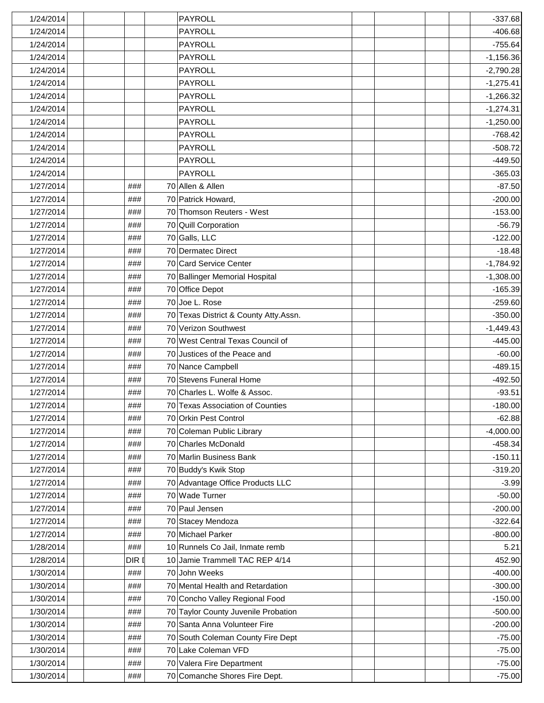| 1/24/2014 |       | PAYROLL                               |  | $-337.68$   |
|-----------|-------|---------------------------------------|--|-------------|
| 1/24/2014 |       | <b>PAYROLL</b>                        |  | $-406.68$   |
| 1/24/2014 |       | <b>PAYROLL</b>                        |  | $-755.64$   |
| 1/24/2014 |       | <b>PAYROLL</b>                        |  | $-1,156.36$ |
| 1/24/2014 |       | <b>PAYROLL</b>                        |  | $-2,790.28$ |
| 1/24/2014 |       | <b>PAYROLL</b>                        |  | $-1,275.41$ |
| 1/24/2014 |       | PAYROLL                               |  | $-1,266.32$ |
| 1/24/2014 |       | <b>PAYROLL</b>                        |  | $-1,274.31$ |
| 1/24/2014 |       | <b>PAYROLL</b>                        |  | $-1,250.00$ |
| 1/24/2014 |       | <b>PAYROLL</b>                        |  | $-768.42$   |
| 1/24/2014 |       | PAYROLL                               |  | $-508.72$   |
| 1/24/2014 |       | PAYROLL                               |  | $-449.50$   |
| 1/24/2014 |       | <b>PAYROLL</b>                        |  | $-365.03$   |
| 1/27/2014 | ###   | 70 Allen & Allen                      |  | $-87.50$    |
| 1/27/2014 | ###   | 70 Patrick Howard,                    |  | $-200.00$   |
| 1/27/2014 | ###   | 70 Thomson Reuters - West             |  | $-153.00$   |
| 1/27/2014 | ###   | 70 Quill Corporation                  |  | $-56.79$    |
| 1/27/2014 | ###   | 70 Galls, LLC                         |  | $-122.00$   |
| 1/27/2014 | ###   | 70 Dermatec Direct                    |  | $-18.48$    |
| 1/27/2014 | ###   | 70 Card Service Center                |  | $-1,784.92$ |
| 1/27/2014 | ###   | 70 Ballinger Memorial Hospital        |  | $-1,308.00$ |
| 1/27/2014 | ###   | 70 Office Depot                       |  | $-165.39$   |
| 1/27/2014 | ###   | 70 Joe L. Rose                        |  | $-259.60$   |
| 1/27/2014 | ###   | 70 Texas District & County Atty.Assn. |  | $-350.00$   |
| 1/27/2014 | ###   | 70 Verizon Southwest                  |  | $-1,449.43$ |
| 1/27/2014 | ###   | 70 West Central Texas Council of      |  | $-445.00$   |
| 1/27/2014 | ###   | 70 Justices of the Peace and          |  | $-60.00$    |
| 1/27/2014 | ###   | 70 Nance Campbell                     |  | $-489.15$   |
| 1/27/2014 | ###   | 70 Stevens Funeral Home               |  | $-492.50$   |
| 1/27/2014 | ###   | 70 Charles L. Wolfe & Assoc.          |  | $-93.51$    |
| 1/27/2014 | ###   | 70 Texas Association of Counties      |  | $-180.00$   |
| 1/27/2014 | ###   | 70 Orkin Pest Control                 |  | $-62.88$    |
| 1/27/2014 | ###   | 70 Coleman Public Library             |  | $-4,000.00$ |
| 1/27/2014 | ###   | 70 Charles McDonald                   |  | $-458.34$   |
| 1/27/2014 | ###   | 70 Marlin Business Bank               |  | $-150.11$   |
| 1/27/2014 | ###   | 70 Buddy's Kwik Stop                  |  | $-319.20$   |
| 1/27/2014 | ###   | 70 Advantage Office Products LLC      |  | $-3.99$     |
| 1/27/2014 | ###   | 70 Wade Turner                        |  | $-50.00$    |
| 1/27/2014 | ###   | 70 Paul Jensen                        |  | $-200.00$   |
| 1/27/2014 | ###   | 70 Stacey Mendoza                     |  | $-322.64$   |
| 1/27/2014 | ###   | 70 Michael Parker                     |  | $-800.00$   |
| 1/28/2014 | ###   | 10 Runnels Co Jail, Inmate remb       |  | 5.21        |
| 1/28/2014 | DIR I | 10 Jamie Trammell TAC REP 4/14        |  | 452.90      |
| 1/30/2014 | ###   | 70 John Weeks                         |  | $-400.00$   |
| 1/30/2014 | ###   | 70 Mental Health and Retardation      |  | $-300.00$   |
| 1/30/2014 | ###   | 70 Concho Valley Regional Food        |  | $-150.00$   |
| 1/30/2014 | ###   | 70 Taylor County Juvenile Probation   |  | $-500.00$   |
| 1/30/2014 | ###   | 70 Santa Anna Volunteer Fire          |  | $-200.00$   |
| 1/30/2014 | ###   | 70 South Coleman County Fire Dept     |  | $-75.00$    |
| 1/30/2014 | ###   | 70 Lake Coleman VFD                   |  | $-75.00$    |
| 1/30/2014 | ###   | 70 Valera Fire Department             |  | $-75.00$    |
| 1/30/2014 | ###   | 70 Comanche Shores Fire Dept.         |  | $-75.00$    |
|           |       |                                       |  |             |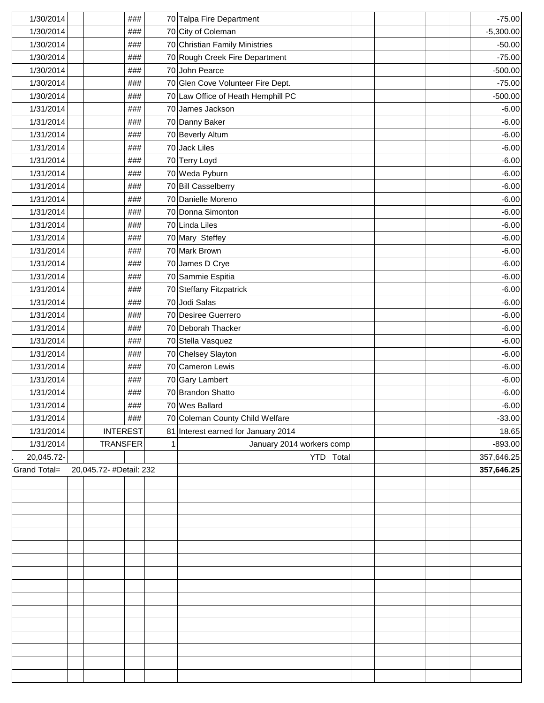| 1/30/2014    | ###                     |   | 70 Talpa Fire Department            |  |  | $-75.00$    |
|--------------|-------------------------|---|-------------------------------------|--|--|-------------|
| 1/30/2014    | ###                     |   | 70 City of Coleman                  |  |  | $-5,300.00$ |
| 1/30/2014    | ###                     |   | 70 Christian Family Ministries      |  |  | $-50.00$    |
| 1/30/2014    | ###                     |   | 70 Rough Creek Fire Department      |  |  | $-75.00$    |
| 1/30/2014    | ###                     |   | 70 John Pearce                      |  |  | $-500.00$   |
| 1/30/2014    | ###                     |   | 70 Glen Cove Volunteer Fire Dept.   |  |  | $-75.00$    |
| 1/30/2014    | ###                     |   | 70 Law Office of Heath Hemphill PC  |  |  | $-500.00$   |
| 1/31/2014    | ###                     |   | 70 James Jackson                    |  |  | $-6.00$     |
| 1/31/2014    | ###                     |   | 70 Danny Baker                      |  |  | $-6.00$     |
| 1/31/2014    | ###                     |   | 70 Beverly Altum                    |  |  | $-6.00$     |
| 1/31/2014    | ###                     |   | 70 Jack Liles                       |  |  | $-6.00$     |
| 1/31/2014    | ###                     |   | 70 Terry Loyd                       |  |  | $-6.00$     |
| 1/31/2014    | ###                     |   | 70 Weda Pyburn                      |  |  | $-6.00$     |
| 1/31/2014    | ###                     |   | 70 Bill Casselberry                 |  |  | $-6.00$     |
| 1/31/2014    | ###                     |   | 70 Danielle Moreno                  |  |  | $-6.00$     |
| 1/31/2014    | ###                     |   | 70 Donna Simonton                   |  |  | $-6.00$     |
| 1/31/2014    | ###                     |   | 70 Linda Liles                      |  |  | $-6.00$     |
| 1/31/2014    | ###                     |   | 70 Mary Steffey                     |  |  | $-6.00$     |
| 1/31/2014    | ###                     |   | 70 Mark Brown                       |  |  | $-6.00$     |
| 1/31/2014    | ###                     |   | 70 James D Crye                     |  |  | $-6.00$     |
| 1/31/2014    | ###                     |   | 70 Sammie Espitia                   |  |  | $-6.00$     |
| 1/31/2014    | ###                     |   | 70 Steffany Fitzpatrick             |  |  | $-6.00$     |
| 1/31/2014    | ###                     |   | 70 Jodi Salas                       |  |  | $-6.00$     |
| 1/31/2014    | ###                     |   | 70 Desiree Guerrero                 |  |  | $-6.00$     |
| 1/31/2014    | ###                     |   | 70 Deborah Thacker                  |  |  | $-6.00$     |
| 1/31/2014    | ###                     |   | 70 Stella Vasquez                   |  |  | $-6.00$     |
| 1/31/2014    | ###                     |   | 70 Chelsey Slayton                  |  |  | $-6.00$     |
| 1/31/2014    | ###                     |   | 70 Cameron Lewis                    |  |  | $-6.00$     |
| 1/31/2014    | ###                     |   | 70 Gary Lambert                     |  |  | $-6.00$     |
| 1/31/2014    | ###                     |   | 70 Brandon Shatto                   |  |  | $-6.00$     |
| 1/31/2014    | ###                     |   | 70 Wes Ballard                      |  |  | $-6.00$     |
| 1/31/2014    | ###                     |   | 70 Coleman County Child Welfare     |  |  | $-33.00$    |
| 1/31/2014    | <b>INTEREST</b>         |   | 81 Interest earned for January 2014 |  |  | 18.65       |
| 1/31/2014    | <b>TRANSFER</b>         | 1 | January 2014 workers comp           |  |  | $-893.00$   |
| 20,045.72-   |                         |   | YTD Total                           |  |  | 357,646.25  |
| Grand Total= | 20,045.72- #Detail: 232 |   |                                     |  |  | 357,646.25  |
|              |                         |   |                                     |  |  |             |
|              |                         |   |                                     |  |  |             |
|              |                         |   |                                     |  |  |             |
|              |                         |   |                                     |  |  |             |
|              |                         |   |                                     |  |  |             |
|              |                         |   |                                     |  |  |             |
|              |                         |   |                                     |  |  |             |
|              |                         |   |                                     |  |  |             |
|              |                         |   |                                     |  |  |             |
|              |                         |   |                                     |  |  |             |
|              |                         |   |                                     |  |  |             |
|              |                         |   |                                     |  |  |             |
|              |                         |   |                                     |  |  |             |
|              |                         |   |                                     |  |  |             |
|              |                         |   |                                     |  |  |             |
|              |                         |   |                                     |  |  |             |
|              |                         |   |                                     |  |  |             |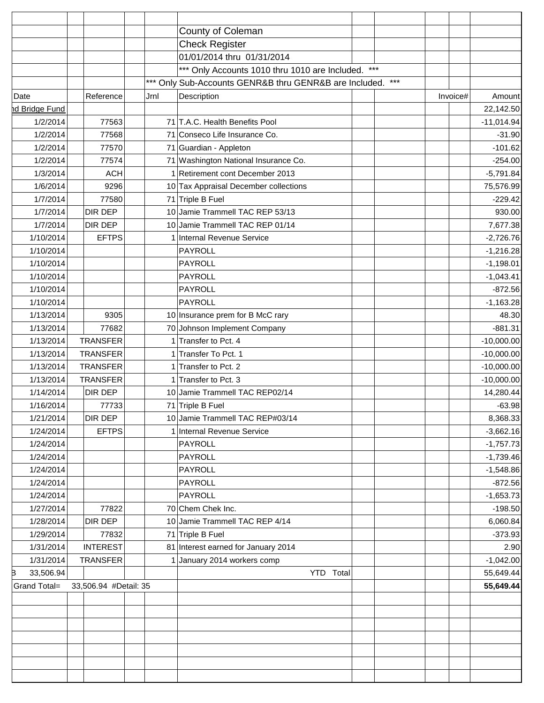|                      |                       | County of Coleman                                          |  |          |              |
|----------------------|-----------------------|------------------------------------------------------------|--|----------|--------------|
|                      |                       | <b>Check Register</b>                                      |  |          |              |
|                      |                       | 01/01/2014 thru 01/31/2014                                 |  |          |              |
|                      |                       | *** Only Accounts 1010 thru 1010 are Included. ***         |  |          |              |
|                      |                       | *** Only Sub-Accounts GENR&B thru GENR&B are Included. *** |  |          |              |
| Date                 | Reference             | Jrnl<br>Description                                        |  | Invoice# | Amount       |
| <b>d Bridge Fund</b> |                       |                                                            |  |          | 22,142.50    |
| 1/2/2014             | 77563                 | 71 T.A.C. Health Benefits Pool                             |  |          | $-11,014.94$ |
| 1/2/2014             | 77568                 | 71 Conseco Life Insurance Co.                              |  |          | $-31.90$     |
| 1/2/2014             | 77570                 | 71 Guardian - Appleton                                     |  |          | $-101.62$    |
| 1/2/2014             | 77574                 | 71 Washington National Insurance Co.                       |  |          | $-254.00$    |
| 1/3/2014             | <b>ACH</b>            | 1 Retirement cont December 2013                            |  |          | $-5,791.84$  |
| 1/6/2014             | 9296                  | 10 Tax Appraisal December collections                      |  |          | 75,576.99    |
| 1/7/2014             | 77580                 | 71 Triple B Fuel                                           |  |          | $-229.42$    |
| 1/7/2014             | DIR DEP               | 10 Jamie Trammell TAC REP 53/13                            |  |          | 930.00       |
| 1/7/2014             | DIR DEP               | 10 Jamie Trammell TAC REP 01/14                            |  |          | 7,677.38     |
| 1/10/2014            | <b>EFTPS</b>          | 1 Internal Revenue Service                                 |  |          | $-2,726.76$  |
| 1/10/2014            |                       | PAYROLL                                                    |  |          | $-1,216.28$  |
| 1/10/2014            |                       | PAYROLL                                                    |  |          | $-1,198.01$  |
| 1/10/2014            |                       | PAYROLL                                                    |  |          | $-1,043.41$  |
| 1/10/2014            |                       | PAYROLL                                                    |  |          | $-872.56$    |
| 1/10/2014            |                       | PAYROLL                                                    |  |          | $-1,163.28$  |
| 1/13/2014            | 9305                  | 10 Insurance prem for B McC rary                           |  |          | 48.30        |
| 1/13/2014            | 77682                 | 70 Johnson Implement Company                               |  |          | $-881.31$    |
| 1/13/2014            | <b>TRANSFER</b>       | 1 Transfer to Pct. 4                                       |  |          | $-10,000.00$ |
| 1/13/2014            | <b>TRANSFER</b>       | 1 Transfer To Pct. 1                                       |  |          | $-10,000.00$ |
| 1/13/2014            | <b>TRANSFER</b>       | 1 Transfer to Pct. 2                                       |  |          | $-10,000.00$ |
| 1/13/2014            | <b>TRANSFER</b>       | 1 Transfer to Pct. 3                                       |  |          | $-10,000.00$ |
| 1/14/2014            | DIR DEP               | 10 Jamie Trammell TAC REP02/14                             |  |          | 14,280.44    |
| 1/16/2014            | 77733                 | 71 Triple B Fuel                                           |  |          | $-63.98$     |
| 1/21/2014            | DIR DEP               | 10 Jamie Trammell TAC REP#03/14                            |  |          | 8,368.33     |
| 1/24/2014            | <b>EFTPS</b>          | 1 Internal Revenue Service                                 |  |          | $-3,662.16$  |
| 1/24/2014            |                       | PAYROLL                                                    |  |          | $-1,757.73$  |
| 1/24/2014            |                       | PAYROLL                                                    |  |          | $-1,739.46$  |
| 1/24/2014            |                       | PAYROLL                                                    |  |          | $-1,548.86$  |
| 1/24/2014            |                       | PAYROLL                                                    |  |          | $-872.56$    |
| 1/24/2014            |                       | PAYROLL                                                    |  |          | $-1,653.73$  |
| 1/27/2014            | 77822                 | 70 Chem Chek Inc.                                          |  |          | $-198.50$    |
| 1/28/2014            | DIR DEP               | 10 Jamie Trammell TAC REP 4/14                             |  |          | 6,060.84     |
| 1/29/2014            | 77832                 | 71 Triple B Fuel                                           |  |          | $-373.93$    |
| 1/31/2014            | <b>INTEREST</b>       | 81 Interest earned for January 2014                        |  |          | 2.90         |
| 1/31/2014            | TRANSFER              | 1 January 2014 workers comp                                |  |          | $-1,042.00$  |
| 33,506.94<br>B       |                       | YTD Total                                                  |  |          | 55,649.44    |
| Grand Total=         | 33,506.94 #Detail: 35 |                                                            |  |          | 55,649.44    |
|                      |                       |                                                            |  |          |              |
|                      |                       |                                                            |  |          |              |
|                      |                       |                                                            |  |          |              |
|                      |                       |                                                            |  |          |              |
|                      |                       |                                                            |  |          |              |
|                      |                       |                                                            |  |          |              |
|                      |                       |                                                            |  |          |              |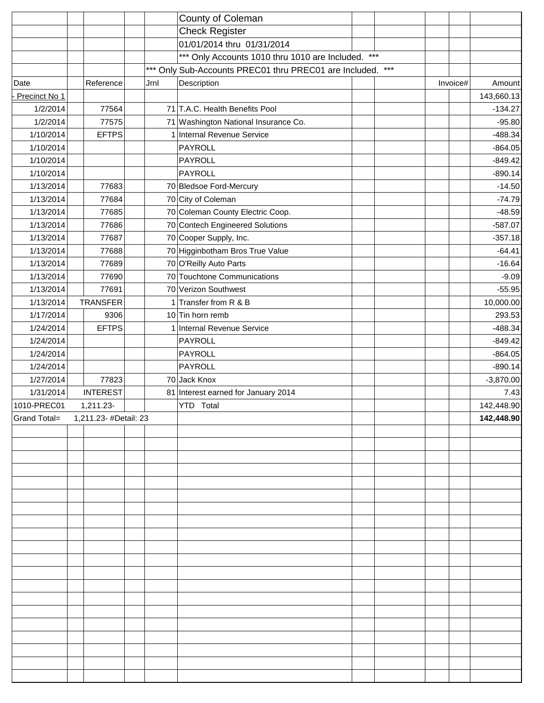|               |                       | County of Coleman                                          |  |          |             |
|---------------|-----------------------|------------------------------------------------------------|--|----------|-------------|
|               |                       | <b>Check Register</b>                                      |  |          |             |
|               |                       | 01/01/2014 thru 01/31/2014                                 |  |          |             |
|               |                       | *** Only Accounts 1010 thru 1010 are Included. ***         |  |          |             |
|               |                       | *** Only Sub-Accounts PREC01 thru PREC01 are Included. *** |  |          |             |
| Date          | Reference             | Description<br>Jrnl                                        |  | Invoice# | Amount      |
| Precinct No 1 |                       |                                                            |  |          | 143,660.13  |
| 1/2/2014      | 77564                 | 71 T.A.C. Health Benefits Pool                             |  |          | $-134.27$   |
| 1/2/2014      | 77575                 | 71 Washington National Insurance Co.                       |  |          | $-95.80$    |
| 1/10/2014     | EFTPS                 | 1 Internal Revenue Service                                 |  |          | $-488.34$   |
| 1/10/2014     |                       | PAYROLL                                                    |  |          | $-864.05$   |
| 1/10/2014     |                       | PAYROLL                                                    |  |          | $-849.42$   |
| 1/10/2014     |                       | <b>PAYROLL</b>                                             |  |          | $-890.14$   |
| 1/13/2014     | 77683                 | 70 Bledsoe Ford-Mercury                                    |  |          | $-14.50$    |
| 1/13/2014     | 77684                 | 70 City of Coleman                                         |  |          | $-74.79$    |
| 1/13/2014     | 77685                 | 70 Coleman County Electric Coop.                           |  |          | $-48.59$    |
| 1/13/2014     | 77686                 | 70 Contech Engineered Solutions                            |  |          | $-587.07$   |
| 1/13/2014     | 77687                 | 70 Cooper Supply, Inc.                                     |  |          | $-357.18$   |
| 1/13/2014     | 77688                 | 70 Higginbotham Bros True Value                            |  |          | $-64.41$    |
| 1/13/2014     | 77689                 | 70 O'Reilly Auto Parts                                     |  |          | $-16.64$    |
| 1/13/2014     | 77690                 | 70 Touchtone Communications                                |  |          | $-9.09$     |
| 1/13/2014     | 77691                 | 70 Verizon Southwest                                       |  |          | $-55.95$    |
| 1/13/2014     | <b>TRANSFER</b>       | 1 Transfer from R & B                                      |  |          | 10,000.00   |
| 1/17/2014     | 9306                  | 10 Tin horn remb                                           |  |          | 293.53      |
| 1/24/2014     | <b>EFTPS</b>          | 1 Internal Revenue Service                                 |  |          | $-488.34$   |
| 1/24/2014     |                       | PAYROLL                                                    |  |          | $-849.42$   |
| 1/24/2014     |                       | <b>PAYROLL</b>                                             |  |          | $-864.05$   |
| 1/24/2014     |                       | <b>PAYROLL</b>                                             |  |          | $-890.14$   |
| 1/27/2014     | 77823                 | 70 Jack Knox                                               |  |          | $-3,870.00$ |
| 1/31/2014     | <b>INTEREST</b>       | 81 Interest earned for January 2014                        |  |          | 7.43        |
| 1010-PREC01   | 1,211.23-             | YTD Total                                                  |  |          | 142,448.90  |
| Grand Total=  | 1,211.23- #Detail: 23 |                                                            |  |          | 142,448.90  |
|               |                       |                                                            |  |          |             |
|               |                       |                                                            |  |          |             |
|               |                       |                                                            |  |          |             |
|               |                       |                                                            |  |          |             |
|               |                       |                                                            |  |          |             |
|               |                       |                                                            |  |          |             |
|               |                       |                                                            |  |          |             |
|               |                       |                                                            |  |          |             |
|               |                       |                                                            |  |          |             |
|               |                       |                                                            |  |          |             |
|               |                       |                                                            |  |          |             |
|               |                       |                                                            |  |          |             |
|               |                       |                                                            |  |          |             |
|               |                       |                                                            |  |          |             |
|               |                       |                                                            |  |          |             |
|               |                       |                                                            |  |          |             |
|               |                       |                                                            |  |          |             |
|               |                       |                                                            |  |          |             |
|               |                       |                                                            |  |          |             |
|               |                       |                                                            |  |          |             |
|               |                       |                                                            |  |          |             |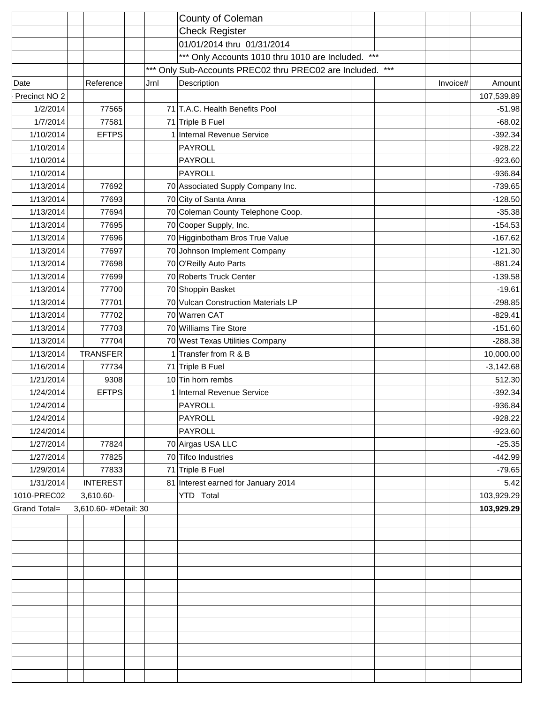|                     |                       |      | County of Coleman                                          |  |          |             |
|---------------------|-----------------------|------|------------------------------------------------------------|--|----------|-------------|
|                     |                       |      | <b>Check Register</b>                                      |  |          |             |
|                     |                       |      | 01/01/2014 thru 01/31/2014                                 |  |          |             |
|                     |                       |      | *** Only Accounts 1010 thru 1010 are Included. ***         |  |          |             |
|                     |                       |      | *** Only Sub-Accounts PREC02 thru PREC02 are Included. *** |  |          |             |
| Date                | Reference             | Jrnl | Description                                                |  | Invoice# | Amount      |
| Precinct NO 2       |                       |      |                                                            |  |          | 107,539.89  |
| 1/2/2014            | 77565                 |      | 71 T.A.C. Health Benefits Pool                             |  |          | $-51.98$    |
| 1/7/2014            | 77581                 |      | 71 Triple B Fuel                                           |  |          | $-68.02$    |
| 1/10/2014           | <b>EFTPS</b>          |      | 1 Internal Revenue Service                                 |  |          | $-392.34$   |
| 1/10/2014           |                       |      | PAYROLL                                                    |  |          | $-928.22$   |
| 1/10/2014           |                       |      | PAYROLL                                                    |  |          | $-923.60$   |
| 1/10/2014           |                       |      | PAYROLL                                                    |  |          | $-936.84$   |
| 1/13/2014           | 77692                 |      | 70 Associated Supply Company Inc.                          |  |          | $-739.65$   |
| 1/13/2014           | 77693                 |      | 70 City of Santa Anna                                      |  |          | $-128.50$   |
| 1/13/2014           | 77694                 |      | 70 Coleman County Telephone Coop.                          |  |          | $-35.38$    |
| 1/13/2014           | 77695                 |      | 70 Cooper Supply, Inc.                                     |  |          | $-154.53$   |
| 1/13/2014           | 77696                 |      | 70 Higginbotham Bros True Value                            |  |          | $-167.62$   |
| 1/13/2014           | 77697                 |      | 70 Johnson Implement Company                               |  |          | $-121.30$   |
| 1/13/2014           | 77698                 |      | 70 O'Reilly Auto Parts                                     |  |          | $-881.24$   |
| 1/13/2014           | 77699                 |      | 70 Roberts Truck Center                                    |  |          | $-139.58$   |
| 1/13/2014           | 77700                 |      | 70 Shoppin Basket                                          |  |          | $-19.61$    |
| 1/13/2014           | 77701                 |      | 70 Vulcan Construction Materials LP                        |  |          | $-298.85$   |
| 1/13/2014           | 77702                 |      | 70 Warren CAT                                              |  |          | $-829.41$   |
| 1/13/2014           | 77703                 |      | 70 Williams Tire Store                                     |  |          | $-151.60$   |
| 1/13/2014           | 77704                 |      | 70 West Texas Utilities Company                            |  |          | $-288.38$   |
| 1/13/2014           | <b>TRANSFER</b>       |      | 1 Transfer from R & B                                      |  |          | 10,000.00   |
| 1/16/2014           | 77734                 |      | 71 Triple B Fuel                                           |  |          | $-3,142.68$ |
| 1/21/2014           | 9308                  |      | 10 Tin horn rembs                                          |  |          | 512.30      |
| 1/24/2014           | <b>EFTPS</b>          |      | Internal Revenue Service                                   |  |          | $-392.34$   |
| 1/24/2014           |                       |      | PAYROLL                                                    |  |          | $-936.84$   |
| 1/24/2014           |                       |      | PAYROLL                                                    |  |          | $-928.22$   |
| 1/24/2014           |                       |      | PAYROLL                                                    |  |          | $-923.60$   |
| 1/27/2014           | 77824                 |      | 70 Airgas USA LLC                                          |  |          | $-25.35$    |
| 1/27/2014           | 77825                 |      | 70 Tifco Industries                                        |  |          | $-442.99$   |
| 1/29/2014           | 77833                 |      | 71 Triple B Fuel                                           |  |          | $-79.65$    |
| 1/31/2014           | <b>INTEREST</b>       |      | 81 Interest earned for January 2014                        |  |          | 5.42        |
| 1010-PREC02         | 3,610.60-             |      | YTD Total                                                  |  |          | 103,929.29  |
| <b>Grand Total=</b> | 3,610.60- #Detail: 30 |      |                                                            |  |          | 103,929.29  |
|                     |                       |      |                                                            |  |          |             |
|                     |                       |      |                                                            |  |          |             |
|                     |                       |      |                                                            |  |          |             |
|                     |                       |      |                                                            |  |          |             |
|                     |                       |      |                                                            |  |          |             |
|                     |                       |      |                                                            |  |          |             |
|                     |                       |      |                                                            |  |          |             |
|                     |                       |      |                                                            |  |          |             |
|                     |                       |      |                                                            |  |          |             |
|                     |                       |      |                                                            |  |          |             |
|                     |                       |      |                                                            |  |          |             |
|                     |                       |      |                                                            |  |          |             |
|                     |                       |      |                                                            |  |          |             |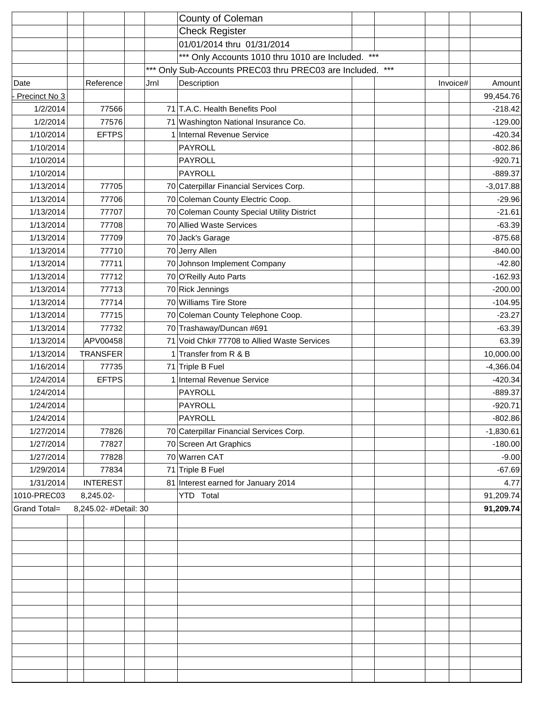|               |                       |      | County of Coleman                                          |  |          |             |
|---------------|-----------------------|------|------------------------------------------------------------|--|----------|-------------|
|               |                       |      | <b>Check Register</b>                                      |  |          |             |
|               |                       |      | 01/01/2014 thru 01/31/2014                                 |  |          |             |
|               |                       |      | *** Only Accounts 1010 thru 1010 are Included. ***         |  |          |             |
|               |                       |      | *** Only Sub-Accounts PREC03 thru PREC03 are Included. *** |  |          |             |
| Date          | Reference             | Jrnl | Description                                                |  | Invoice# | Amount      |
| Precinct No 3 |                       |      |                                                            |  |          | 99,454.76   |
| 1/2/2014      | 77566                 |      | 71 T.A.C. Health Benefits Pool                             |  |          | $-218.42$   |
| 1/2/2014      | 77576                 |      | 71 Washington National Insurance Co.                       |  |          | $-129.00$   |
| 1/10/2014     | EFTPS                 |      | 1 Internal Revenue Service                                 |  |          | $-420.34$   |
| 1/10/2014     |                       |      | <b>PAYROLL</b>                                             |  |          | $-802.86$   |
| 1/10/2014     |                       |      | <b>PAYROLL</b>                                             |  |          | $-920.71$   |
| 1/10/2014     |                       |      | <b>PAYROLL</b>                                             |  |          | $-889.37$   |
| 1/13/2014     | 77705                 |      | 70 Caterpillar Financial Services Corp.                    |  |          | $-3,017.88$ |
| 1/13/2014     | 77706                 |      | 70 Coleman County Electric Coop.                           |  |          | $-29.96$    |
| 1/13/2014     | 77707                 |      | 70 Coleman County Special Utility District                 |  |          | $-21.61$    |
| 1/13/2014     | 77708                 |      | 70 Allied Waste Services                                   |  |          | $-63.39$    |
| 1/13/2014     | 77709                 |      | 70 Jack's Garage                                           |  |          | $-875.68$   |
| 1/13/2014     | 77710                 |      | 70 Jerry Allen                                             |  |          | $-840.00$   |
| 1/13/2014     | 77711                 |      | 70 Johnson Implement Company                               |  |          | $-42.80$    |
| 1/13/2014     | 77712                 |      | 70 O'Reilly Auto Parts                                     |  |          | $-162.93$   |
| 1/13/2014     | 77713                 |      | 70 Rick Jennings                                           |  |          | $-200.00$   |
| 1/13/2014     | 77714                 |      | 70 Williams Tire Store                                     |  |          | $-104.95$   |
| 1/13/2014     | 77715                 |      | 70 Coleman County Telephone Coop.                          |  |          | $-23.27$    |
| 1/13/2014     | 77732                 |      | 70 Trashaway/Duncan #691                                   |  |          | $-63.39$    |
| 1/13/2014     | APV00458              |      | 71 Void Chk# 77708 to Allied Waste Services                |  |          | 63.39       |
| 1/13/2014     | <b>TRANSFER</b>       |      | 1 Transfer from R & B                                      |  |          | 10,000.00   |
| 1/16/2014     | 77735                 |      | 71 Triple B Fuel                                           |  |          | $-4,366.04$ |
| 1/24/2014     | EFTPS                 |      | 1 Internal Revenue Service                                 |  |          | $-420.34$   |
| 1/24/2014     |                       |      | PAYROLL                                                    |  |          | $-889.37$   |
| 1/24/2014     |                       |      | PAYROLL                                                    |  |          | $-920.71$   |
| 1/24/2014     |                       |      | <b>PAYROLL</b>                                             |  |          | $-802.86$   |
| 1/27/2014     | 77826                 |      | 70 Caterpillar Financial Services Corp.                    |  |          | $-1,830.61$ |
| 1/27/2014     | 77827                 |      | 70 Screen Art Graphics                                     |  |          | $-180.00$   |
| 1/27/2014     | 77828                 |      | 70 Warren CAT                                              |  |          | $-9.00$     |
| 1/29/2014     | 77834                 |      | 71 Triple B Fuel                                           |  |          | $-67.69$    |
| 1/31/2014     | INTEREST              |      | 81 Interest earned for January 2014                        |  |          | 4.77        |
| 1010-PREC03   | 8,245.02-             |      | YTD Total                                                  |  |          | 91,209.74   |
| Grand Total=  | 8,245.02- #Detail: 30 |      |                                                            |  |          | 91,209.74   |
|               |                       |      |                                                            |  |          |             |
|               |                       |      |                                                            |  |          |             |
|               |                       |      |                                                            |  |          |             |
|               |                       |      |                                                            |  |          |             |
|               |                       |      |                                                            |  |          |             |
|               |                       |      |                                                            |  |          |             |
|               |                       |      |                                                            |  |          |             |
|               |                       |      |                                                            |  |          |             |
|               |                       |      |                                                            |  |          |             |
|               |                       |      |                                                            |  |          |             |
|               |                       |      |                                                            |  |          |             |
|               |                       |      |                                                            |  |          |             |
|               |                       |      |                                                            |  |          |             |
|               |                       |      |                                                            |  |          |             |